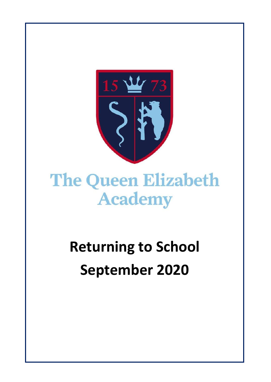

# **The Queen Elizabeth Academy**

# **Returning to School September 2020**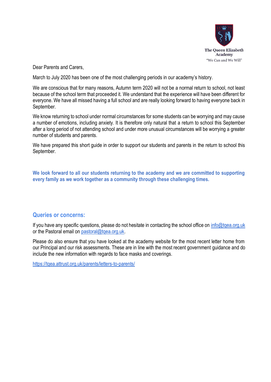

Dear Parents and Carers,

March to July 2020 has been one of the most challenging periods in our academy's history.

We are conscious that for many reasons, Autumn term 2020 will not be a normal return to school, not least because of the school term that proceeded it. We understand that the experience will have been different for everyone. We have all missed having a full school and are really looking forward to having everyone back in September.

We know returning to school under normal circumstances for some students can be worrying and may cause a number of emotions, including anxiety. It is therefore only natural that a return to school this September after a long period of not attending school and under more unusual circumstances will be worrying a greater number of students and parents.

We have prepared this short guide in order to support our students and parents in the return to school this September.

**We look forward to all our students returning to the academy and we are committed to supporting every family as we work together as a community through these challenging times.** 

#### **Queries or concerns:**

If you have any specific questions, please do not hesitate in contacting the school office on [info@tqea.org.uk](mailto:info@tqea.org.uk) or the Pastoral email on pastoral@tgea.org.uk.

Please do also ensure that you have looked at the academy website for the most recent letter home from our Principal and our risk assessments. These are in line with the most recent government guidance and do include the new information with regards to face masks and coverings.

<https://tqea.attrust.org.uk/parents/letters-to-parents/>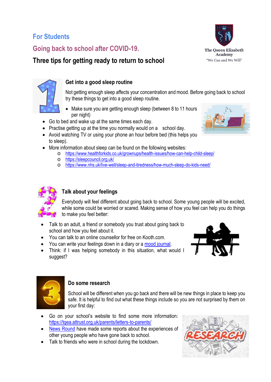# **For Students**

# **Going back to school after COVID-19.**

# **Three tips for getting ready to return to school**





### **Get into a good sleep routine**

Not getting enough sleep affects your concentration and mood. Before going back to school try these things to get into a good sleep routine.

- Make sure you are getting enough sleep (between 8 to 11 hours per night)
- Go to bed and wake up at the same times each day.
- Practise getting up at the time you normally would on a school day.
- Avoid watching TV or using your phone an hour before bed (this helps you to sleep).
- More information about sleep can be found on the following websites:
	- o <https://www.healthforkids.co.uk/grownups/health-issues/how-can-help-child-sleep/>
	- o <https://sleepcouncil.org.uk/>
	- o <https://www.nhs.uk/live-well/sleep-and-tiredness/how-much-sleep-do-kids-need/>



# **Talk about your feelings**

Everybody will feel different about going back to school. Some young people will be excited, while some could be worried or scared. Making sense of how you feel can help you do things to make you feel better:

- Talk to an adult, a friend or somebody you trust about going back to school and how you feel about it.
- You can talk to an online counsellor for free on Kooth.com.
- You can write your feelings down in a diary or a [mood journal.](https://www.childline.org.uk/toolbox/mood-journal/)
- Think: if I was helping somebody in this situation, what would I suggest?





## **Do some research**

School will be different when you go back and there will be new things in place to keep you safe. It is helpful to find out what these things include so you are not surprised by them on your first day:

- Go on your school's website to find some more information: <https://tqea.attrust.org.uk/parents/letters-to-parents/>
- [News Round](https://www.bbc.co.uk/newsround/53937719) have made some reports about the experiences of other young people who have gone back to school.
- Talk to friends who were in school during the lockdown.



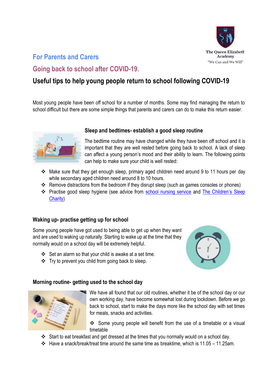

# **For Parents and Carers**

# **Going back to school after COVID-19.**

# **Useful tips to help young people return to school following COVID-19**

Most young people have been off school for a number of months. Some may find managing the return to school difficult but there are some simple things that parents and carers can do to make this return easier.



#### **Sleep and bedtimes- establish a good sleep routine**

The bedtime routine may have changed while they have been off school and it is important that they are well rested before going back to school. A lack of sleep can affect a young person's mood and their ability to learn. The following points can help to make sure your child is well rested:

- Make sure that they get enough sleep, primary aged children need around 9 to 11 hours per day while secondary aged children need around 8 to 10 hours.
- $\div$  Remove distractions from the bedroom if they disrupt sleep (such as games consoles or phones)
- \* Practise good sleep hygiene (see advice from [school nursing service](https://www.healthforkids.co.uk/grownups/health-issues/how-can-help-child-sleep/) and The Children's Sleep [Charity\)](https://www.thechildrenssleepcharity.org.uk/)

#### **Waking up- practise getting up for school**

Some young people have got used to being able to get up when they want and are used to waking up naturally. Starting to wake up at the time that they normally would on a school day will be extremely helpful.

- Set an alarm so that your child is awake at a set time.
- $\div$  Try to prevent you child from going back to sleep.



#### **Morning routine- getting used to the school day**



We have all found that our old routines, whether it be of the school day or our own working day, have become somewhat lost during lockdown. Before we go back to school, start to make the days more like the school day with set times for meals, snacks and activities.

 Some young people will benefit from the use of a timetable or a visual timetable

- Start to eat breakfast and get dressed at the times that you normally would on a school day.
- Have a snack/break/treat time around the same time as breaktime, which is 11.05 11.25am.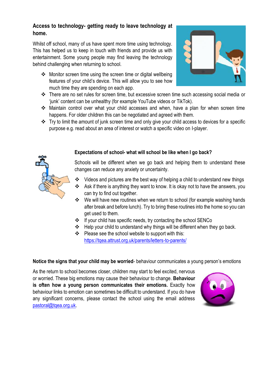## **Access to technology- getting ready to leave technology at home.**

Whilst off school, many of us have spent more time using technology. This has helped us to keep in touch with friends and provide us with entertainment. Some young people may find leaving the technology behind challenging when returning to school.

 Monitor screen time using the screen time or digital wellbeing features of your child's device. This will allow you to see how much time they are spending on each app.



- There are no set rules for screen time, but excessive screen time such accessing social media or 'junk' content can be unhealthy (for example YouTube videos or TikTok).
- Maintain control over what your child accesses and when, have a plan for when screen time happens. For older children this can be negotiated and agreed with them.
- \* Try to limit the amount of junk screen time and only give your child access to devices for a specific purpose e.g. read about an area of interest or watch a specific video on I-player.



## **Expectations of school- what will school be like when I go back?**

Schools will be different when we go back and helping them to understand these changes can reduce any anxiety or uncertainty.

- $\cdot$  Videos and pictures are the best way of helping a child to understand new things
- Ask if there is anything they want to know. It is okay not to have the answers, you can try to find out together.
- We will have new routines when we return to school (for example washing hands after break and before lunch). Try to bring these routines into the home so you can get used to them.
- If your child has specific needs, try contacting the school SENCo
- Help your child to understand why things will be different when they go back.
- ❖ Please see the school website to support with this: <https://tqea.attrust.org.uk/parents/letters-to-parents/>

#### **Notice the signs that your child may be worried**- behaviour communicates a young person's emotions

As the return to school becomes closer, children may start to feel excited, nervous or worried. These big emotions may cause their behaviour to change. **Behaviour is often how a young person communicates their emotions.** Exactly how behaviour links to emotion can sometimes be difficult to understand. If you do have any significant concerns, please contact the school using the email address pastoral@tgea.org.uk.

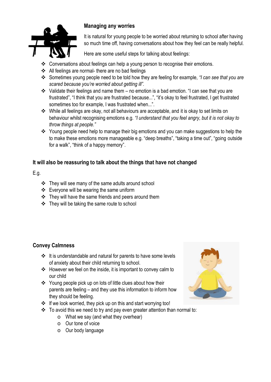

## **Managing any worries**

It is natural for young people to be worried about returning to school after having so much time off, having conversations about how they feel can be really helpful.

Here are some useful steps for talking about feelings:

- Conversations about feelings can help a young person to recognise their emotions.
- All feelings are normal- there are no bad feelings
- Sometimes young people need to be told how they are feeling for example, *"I can see that you are scared because you're worried about getting ill".*
- $\cdot$  Validate their feelings and name them no emotion is a bad emotion. "I can see that you are frustrated", "I think that you are frustrated because...", "it's okay to feel frustrated, I get frustrated sometimes too for example, I was frustrated when...".
- While all feelings are okay, not all behaviours are acceptable, and it is okay to set limits on behaviour whilst recognising emotions e.g. *"I understand that you feel angry, but it is not okay to throw things at people."*
- \* Young people need help to manage their big emotions and you can make suggestions to help the to make these emotions more manageable e.g. "deep breaths", "taking a time out", "going outside for a walk", "think of a happy memory".

## **It will also be reassuring to talk about the things that have not changed**

E.g.

- They will see many of the same adults around school
- Everyone will be wearing the same uniform
- $\div$  They will have the same friends and peers around them
- $\div$  They will be taking the same route to school

## **Convey Calmness**

- $\div$  It is understandable and natural for parents to have some levels of anxiety about their child returning to school.
- $\div$  However we feel on the inside, it is important to convey calm to our child
- ❖ Young people pick up on lots of little clues about how their parents are feeling – and they use this information to inform how they should be feeling.
- If we look worried, they pick up on this and start worrying too!
- $\cdot \cdot$  To avoid this we need to try and pay even greater attention than normal to:
	- o What we say (and what they overhear)
	- o Our tone of voice
	- o Our body language